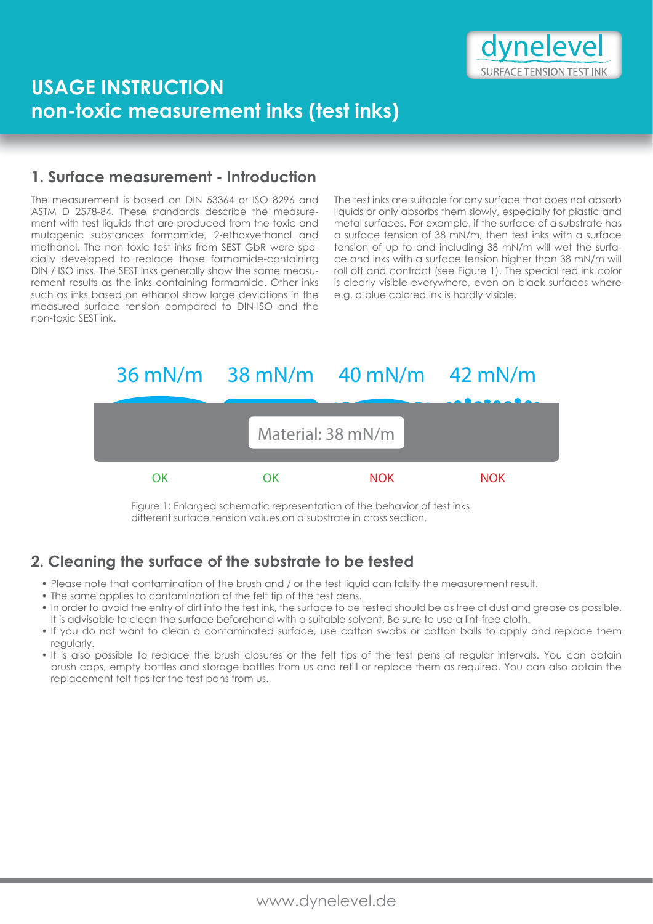

# **USAGE INSTRUCTION non-toxic measurement inks (test inks)**

### **1. Surface measurement - Introduction**

The measurement is based on DIN 53364 or ISO 8296 and ASTM D 2578-84. These standards describe the measurement with test liquids that are produced from the toxic and mutagenic substances formamide, 2-ethoxyethanol and methanol. The non-toxic test inks from SEST GbR were specially developed to replace those formamide-containing DIN / ISO inks. The SEST inks generally show the same measurement results as the inks containing formamide. Other inks such as inks based on ethanol show large deviations in the measured surface tension compared to DIN-ISO and the non-toxic SEST ink.

The test inks are suitable for any surface that does not absorb liquids or only absorbs them slowly, especially for plastic and metal surfaces. For example, if the surface of a substrate has a surface tension of 38 mN/m, then test inks with a surface tension of up to and including 38 mN/m will wet the surface and inks with a surface tension higher than 38 mN/m will roll off and contract (see Figure 1). The special red ink color is clearly visible everywhere, even on black surfaces where e.g. a blue colored ink is hardly visible.



Figure 1: Enlarged schematic representation of the behavior of test inks different surface tension values on a substrate in cross section.

# **2. Cleaning the surface of the substrate to be tested**

- Please note that contamination of the brush and / or the test liquid can falsify the measurement result.
- The same applies to contamination of the felt tip of the test pens.
- ï In order to avoid the entry of dirt into the test ink, the surface to be tested should be as free of dust and grease as possible. It is advisable to clean the surface beforehand with a suitable solvent. Be sure to use a lint-free cloth.
- If you do not want to clean a contaminated surface, use cotton swabs or cotton balls to apply and replace them regularly.
- It is also possible to replace the brush closures or the felt tips of the test pens at regular intervals. You can obtain brush caps, empty bottles and storage bottles from us and refill or replace them as required. You can also obtain the replacement felt tips for the test pens from us.